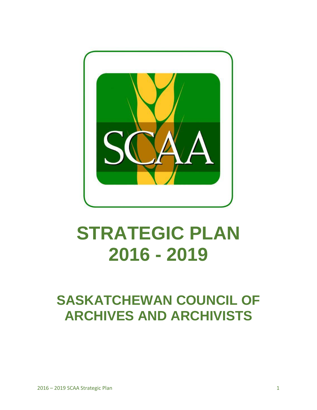

# **STRATEGIC PLAN 2016 - 2019**

# **SASKATCHEWAN COUNCIL OF ARCHIVES AND ARCHIVISTS**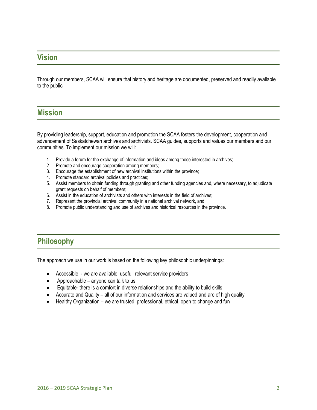# **Vision**

Through our members, SCAA will ensure that history and heritage are documented, preserved and readily available to the public*.*

## **Mission**

By providing leadership, support, education and promotion the SCAA fosters the development, cooperation and advancement of Saskatchewan archives and archivists. SCAA guides, supports and values our members and our communities. To implement our mission we will:

- 1. Provide a forum for the exchange of information and ideas among those interested in archives;
- 2. Promote and encourage cooperation among members;
- 3. Encourage the establishment of new archival institutions within the province;
- 4. Promote standard archival policies and practices;
- 5. Assist members to obtain funding through granting and other funding agencies and, where necessary, to adjudicate grant requests on behalf of members;
- 6. Assist in the education of archivists and others with interests in the field of archives;
- 7. Represent the provincial archival community in a national archival network, and;
- 8. Promote public understanding and use of archives and historical resources in the province.

# **Philosophy**

The approach we use in our work is based on the following key philosophic underpinnings:

- Accessible we are available, useful, relevant service providers
- Approachable anyone can talk to us
- Equitable- there is a comfort in diverse relationships and the ability to build skills
- Accurate and Quality all of our information and services are valued and are of high quality
- Healthy Organization we are trusted, professional, ethical, open to change and fun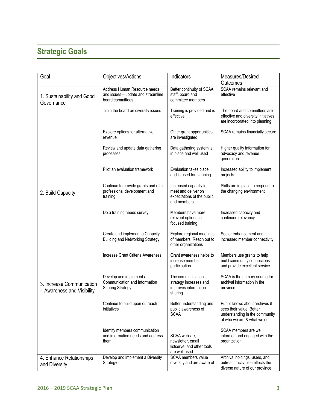# **Strategic Goals**

| Goal                                                    | Objectives/Actions                                                                     | Indicators                                                                                | Measures/Desired<br>Outcomes                                                                                               |
|---------------------------------------------------------|----------------------------------------------------------------------------------------|-------------------------------------------------------------------------------------------|----------------------------------------------------------------------------------------------------------------------------|
| 1. Sustainability and Good<br>Governance                | Address Human Resource needs<br>and issues - update and streamline<br>board committees | Better continuity of SCAA<br>staff, board and<br>committee members                        | SCAA remains relevant and<br>effective                                                                                     |
|                                                         | Train the board on diversity issues                                                    | Training is provided and is<br>effective                                                  | The board and committees are<br>effective and diversity initiatives<br>are incorporated into planning                      |
|                                                         | Explore options for alternative<br>revenue                                             | Other grant opportunities<br>are investigated                                             | SCAA remains financially secure                                                                                            |
|                                                         | Review and update data gathering<br>processes                                          | Data gathering system is<br>in place and well used                                        | Higher quality information for<br>advocacy and revenue<br>generation                                                       |
|                                                         | Pilot an evaluation framework                                                          | Evaluation takes place<br>and is used for planning                                        | Increased ability to implement<br>projects                                                                                 |
| 2. Build Capacity                                       | Continue to provide grants and offer<br>professional development and<br>training       | Increased capacity to<br>meet and deliver on<br>expectations of the public<br>and members | Skills are in place to respond to<br>the changing environment                                                              |
|                                                         | Do a training needs survey                                                             | Members have more<br>relevant options for<br>focused training                             | Increased capacity and<br>continued relevancy                                                                              |
|                                                         | Create and implement a Capacity<br><b>Building and Networking Strategy</b>             | Explore regional meetings<br>of members. Reach out to<br>other organizations              | Sector enhancement and<br>increased member connectivity                                                                    |
|                                                         | Increase Grant Criteria Awareness                                                      | Grant awareness helps to<br>increase member<br>participation                              | Members use grants to help<br>build community connections<br>and provide excellent service                                 |
| 3. Increase Communication<br>- Awareness and Visibility | Develop and implement a<br>Communication and Information<br><b>Sharing Strategy</b>    | The communication<br>strategy increases and<br>improves information<br>sharing            | SCAA is the primary source for<br>archival information in the<br>province                                                  |
|                                                         | Continue to build upon outreach<br>initiatives                                         | Better understanding and<br>public awareness of<br><b>SCAA</b>                            | Public knows about archives &<br>sees their value. Better<br>understanding in the community<br>of who we are & what we do. |
|                                                         | Identify members communication<br>and information needs and address<br>them            | SCAA website,<br>newsletter, email<br>listserve, and other tools<br>are well used         | SCAA members are well<br>informed and engaged with the<br>organization                                                     |
| 4. Enhance Relationships<br>and Diversity               | Develop and implement a Diversity<br>Strategy                                          | SCAA members value<br>diversity and are aware of                                          | Archival holdings, users, and<br>outreach activities reflects the<br>diverse nature of our province                        |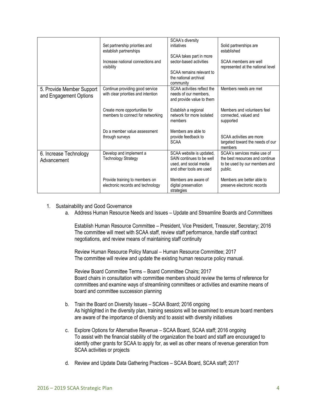|                                                     | Set partnership priorities and<br>establish partnerships<br>Increase national connections and<br>visibility | SCAA's diversity<br>initiatives<br>SCAA takes part in more<br>sector-based activities<br>SCAA remains relevant to<br>the national archival<br>community | Solid partnerships are<br>established<br>SCAA members are well<br>represented at the national level        |
|-----------------------------------------------------|-------------------------------------------------------------------------------------------------------------|---------------------------------------------------------------------------------------------------------------------------------------------------------|------------------------------------------------------------------------------------------------------------|
| 5. Provide Member Support<br>and Engagement Options | Continue providing good service<br>with clear priorities and intention                                      | SCAA activities reflect the<br>needs of our members.<br>and provide value to them                                                                       | Members needs are met                                                                                      |
|                                                     | Create more opportunities for<br>members to connect for networking                                          | Establish a regional<br>network for more isolated<br>members                                                                                            | Members and volunteers feel<br>connected, valued and<br>supported                                          |
|                                                     | Do a member value assessment<br>through surveys                                                             | Members are able to<br>provide feedback to<br><b>SCAA</b>                                                                                               | SCAA activities are more<br>targeted toward the needs of our<br>members                                    |
| 6. Increase Technology<br>Advancement               | Develop and implement a<br><b>Technology Strategy</b>                                                       | SCAA website is updated,<br>SAIN continues to be well<br>used, and social media<br>and other tools are used                                             | SCAA's services make use of<br>the best resources and continue<br>to be used by our members and<br>public. |
|                                                     | Provide training to members on<br>electronic records and technology                                         | Members are aware of<br>digital preservation<br>strategies                                                                                              | Members are better able to<br>preserve electronic records                                                  |

- 1. Sustainability and Good Governance
	- a. Address Human Resource Needs and Issues Update and Streamline Boards and Committees

Establish Human Resource Committee – President, Vice President, Treasurer, Secretary; 2016 The committee will meet with SCAA staff, review staff performance, handle staff contract negotiations, and review means of maintaining staff continuity

Review Human Resource Policy Manual – Human Resource Committee; 2017 The committee will review and update the existing human resource policy manual.

Review Board Committee Terms – Board Committee Chairs; 2017 Board chairs in consultation with committee members should review the terms of reference for committees and examine ways of streamlining committees or activities and examine means of board and committee succession planning

- b. Train the Board on Diversity Issues SCAA Board; 2016 ongoing As highlighted in the diversity plan, training sessions will be examined to ensure board members are aware of the importance of diversity and to assist with diversity initiatives
- c. Explore Options for Alternative Revenue SCAA Board, SCAA staff; 2016 ongoing To assist with the financial stability of the organization the board and staff are encouraged to identify other grants for SCAA to apply for, as well as other means of revenue generation from SCAA activities or projects
- d. Review and Update Data Gathering Practices SCAA Board, SCAA staff; 2017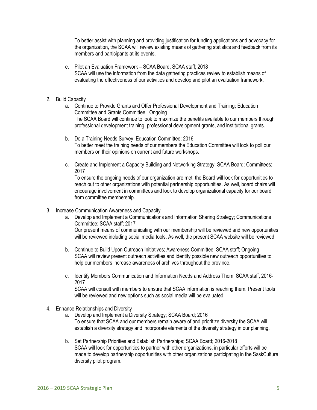To better assist with planning and providing justification for funding applications and advocacy for the organization, the SCAA will review existing means of gathering statistics and feedback from its members and participants at its events.

- e. Pilot an Evaluation Framework SCAA Board, SCAA staff; 2018 SCAA will use the information from the data gathering practices review to establish means of evaluating the effectiveness of our activities and develop and pilot an evaluation framework.
- 2. Build Capacity
	- a. Continue to Provide Grants and Offer Professional Development and Training; Education Committee and Grants Committee; Ongoing The SCAA Board will continue to look to maximize the benefits available to our members through professional development training, professional development grants, and institutional grants.
	- b. Do a Training Needs Survey; Education Committee; 2016 To better meet the training needs of our members the Education Committee will look to poll our members on their opinions on current and future workshops.
	- c. Create and Implement a Capacity Building and Networking Strategy; SCAA Board; Committees; 2017

To ensure the ongoing needs of our organization are met, the Board will look for opportunities to reach out to other organizations with potential partnership opportunities. As well, board chairs will encourage involvement in committees and look to develop organizational capacity for our board from committee membership.

- 3. Increase Communication Awareness and Capacity
	- a. Develop and Implement a Communications and Information Sharing Strategy; Communications Committee; SCAA staff; 2017 Our present means of communicating with our membership will be reviewed and new opportunities will be reviewed including social media tools. As well, the present SCAA website will be reviewed.
	- b. Continue to Build Upon Outreach Initiatives; Awareness Committee; SCAA staff; Ongoing SCAA will review present outreach activities and identify possible new outreach opportunities to help our members increase awareness of archives throughout the province.
	- c. Identify Members Communication and Information Needs and Address Them; SCAA staff, 2016- 2017 SCAA will consult with members to ensure that SCAA information is reaching them. Present tools will be reviewed and new options such as social media will be evaluated.
- 4. Enhance Relationships and Diversity
	- a. Develop and Implement a Diversity Strategy; SCAA Board; 2016 To ensure that SCAA and our members remain aware of and prioritize diversity the SCAA will establish a diversity strategy and incorporate elements of the diversity strategy in our planning.
	- b. Set Partnership Priorities and Establish Partnerships; SCAA Board; 2016-2018 SCAA will look for opportunities to partner with other organizations, in particular efforts will be made to develop partnership opportunities with other organizations participating in the SaskCulture diversity pilot program.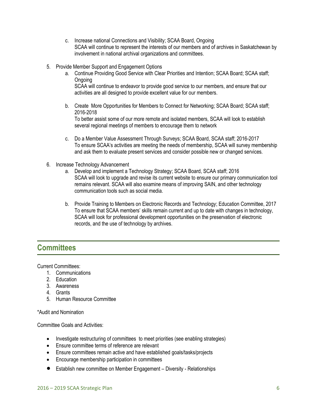- c. Increase national Connections and Visibility; SCAA Board, Ongoing SCAA will continue to represent the interests of our members and of archives in Saskatchewan by involvement in national archival organizations and committees.
- 5. Provide Member Support and Engagement Options
	- a. Continue Providing Good Service with Clear Priorities and Intention; SCAA Board; SCAA staff; Ongoing

SCAA will continue to endeavor to provide good service to our members, and ensure that our activities are all designed to provide excellent value for our members.

b. Create More Opportunities for Members to Connect for Networking; SCAA Board; SCAA staff; 2016-2018

To better assist some of our more remote and isolated members, SCAA will look to establish several regional meetings of members to encourage them to network

- c. Do a Member Value Assessment Through Surveys; SCAA Board, SCAA staff; 2016-2017 To ensure SCAA's activities are meeting the needs of membership, SCAA will survey membership and ask them to evaluate present services and consider possible new or changed services.
- 6. Increase Technology Advancement
	- a. Develop and implement a Technology Strategy; SCAA Board, SCAA staff; 2016 SCAA will look to upgrade and revise its current website to ensure our primary communication tool remains relevant. SCAA will also examine means of improving SAIN, and other technology communication tools such as social media.
	- b. Provide Training to Members on Electronic Records and Technology; Education Committee, 2017 To ensure that SCAA members' skills remain current and up to date with changes in technology, SCAA will look for professional development opportunities on the preservation of electronic records, and the use of technology by archives.

# **Committees**

Current Committees:

- 1. Communications
- 2. Education
- 3. Awareness
- 4. Grants
- 5. Human Resource Committee

\*Audit and Nomination

Committee Goals and Activities:

- Investigate restructuring of committees to meet priorities (see enabling strategies)
- Ensure committee terms of reference are relevant
- Ensure committees remain active and have established goals/tasks/projects
- Encourage membership participation in committees
- Establish new committee on Member Engagement Diversity Relationships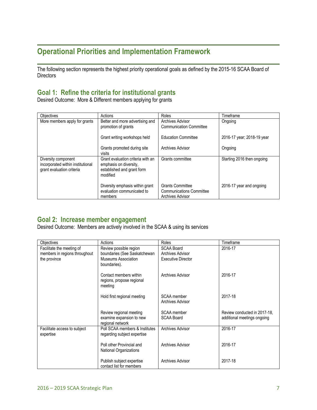# **Operational Priorities and Implementation Framework**

The following section represents the highest priority operational goals as defined by the 2015-16 SCAA Board of **Directors** 

### **Goal 1: Refine the criteria for institutional grants**

Desired Outcome: More & Different members applying for grants

| <b>Objectives</b>                                                                     | Actions                                                                                               | Roles                                                                          | Timeframe                  |
|---------------------------------------------------------------------------------------|-------------------------------------------------------------------------------------------------------|--------------------------------------------------------------------------------|----------------------------|
| More members apply for grants                                                         | Better and more advertising and<br>promotion of grants                                                | Archives Advisor<br><b>Communication Committee</b>                             | Ongoing                    |
|                                                                                       | Grant writing workshops held                                                                          | <b>Education Committee</b>                                                     | 2016-17 year; 2018-19 year |
|                                                                                       | Grants promoted during site<br>visits                                                                 | <b>Archives Advisor</b>                                                        | Ongoing                    |
| Diversity component<br>incorporated within institutional<br>grant evaluation criteria | Grant evaluation criteria with an<br>emphasis on diversity,<br>established and grant form<br>modified | Grants committee                                                               | Starting 2016 then ongoing |
|                                                                                       | Diversity emphasis within grant<br>evaluation communicated to<br>members                              | <b>Grants Committee</b><br><b>Communications Committee</b><br>Archives Advisor | 2016-17 year and ongoing   |

### **Goal 2: Increase member engagement**

Desired Outcome: Members are actively involved in the SCAA & using its services

| Objectives                                | Actions                                                                 | Roles                                  | Timeframe                                                   |
|-------------------------------------------|-------------------------------------------------------------------------|----------------------------------------|-------------------------------------------------------------|
| Facilitate the meeting of                 | Review possible region                                                  | <b>SCAA Board</b>                      | 2016-17                                                     |
| members in regions throughout             | boundaries (See Saskatchewan                                            | <b>Archives Advisor</b>                |                                                             |
| the province                              | Museums Association<br>boundaries).                                     | <b>Executive Director</b>              |                                                             |
|                                           | Contact members within<br>regions, propose regional<br>meeting          | Archives Advisor                       | 2016-17                                                     |
|                                           | Hold first regional meeting                                             | SCAA member<br><b>Archives Advisor</b> | 2017-18                                                     |
|                                           | Review regional meeting<br>examine expansion to new<br>regional network | SCAA member<br><b>SCAA Board</b>       | Review conducted in 2017-18.<br>additional meetings ongoing |
| Facilitate access to subject<br>expertise | Poll SCAA members & Institutes<br>regarding subject expertise           | <b>Archives Advisor</b>                | 2016-17                                                     |
|                                           | Poll other Provincial and<br><b>National Organizations</b>              | Archives Advisor                       | 2016-17                                                     |
|                                           | Publish subject expertise<br>contact list for members                   | Archives Advisor                       | 2017-18                                                     |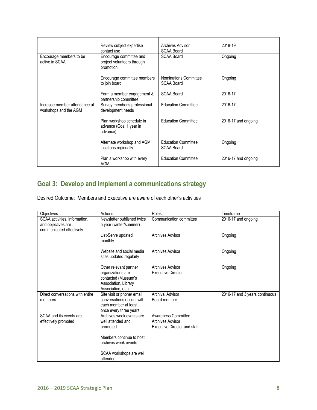|                                                        | Review subject expertise<br>contact use                            | Archives Advisor<br><b>SCAA Board</b>           | 2018-19             |
|--------------------------------------------------------|--------------------------------------------------------------------|-------------------------------------------------|---------------------|
| Encourage members to be<br>active in SCAA              | Encourage committee and<br>project volunteers through<br>promotion | <b>SCAA Board</b>                               | Ongoing             |
|                                                        | Encourage committee members<br>to join board                       | Nominations Committee<br><b>SCAA Board</b>      | Ongoing             |
|                                                        | Form a member engagement &<br>partnership committee                | <b>SCAA Board</b>                               | 2016-17             |
| Increase member attendance at<br>workshops and the AGM | Survey member's professional<br>development needs                  | <b>Education Committee</b>                      | 2016-17             |
|                                                        | Plan workshop schedule in<br>advance (Goal 1 year in<br>advance)   | <b>Education Committee</b>                      | 2016-17 and ongoing |
|                                                        | Alternate workshop and AGM<br>locations regionally                 | <b>Education Committee</b><br><b>SCAA Board</b> | Ongoing             |
|                                                        | Plan a workshop with every<br><b>AGM</b>                           | <b>Education Committee</b>                      | 2016-17 and ongoing |

# **Goal 3: Develop and implement a communications strategy**

Desired Outcome: Members and Executive are aware of each other's activities

| Objectives                                                                      | Actions                                                                                                         | Roles                                                                          | Timeframe                      |
|---------------------------------------------------------------------------------|-----------------------------------------------------------------------------------------------------------------|--------------------------------------------------------------------------------|--------------------------------|
| SCAA activities, information,<br>and objectives are<br>communicated effectively | Newsletter published twice<br>a year (winter/summer)                                                            | Communication committee                                                        | 2016-17 and ongoing            |
|                                                                                 | List-Serve updated<br>monthly                                                                                   | Archives Advisor                                                               | Ongoing                        |
|                                                                                 | Website and social media<br>sites updated regularly                                                             | <b>Archives Advisor</b>                                                        | Ongoing                        |
|                                                                                 | Other relevant partner<br>organizations are<br>contacted (Museum's<br>Association, Library<br>Association, etc) | Archives Advisor<br><b>Executive Director</b>                                  | Ongoing                        |
| Direct conversations with entire<br>members                                     | Site visit or phone/ email<br>conversations occurs with<br>each member at least<br>once every three years       | <b>Archival Advisor</b><br>Board member                                        | 2016-17 and 3 years continuous |
| SCAA and its events are<br>effectively promoted                                 | Archives week events are<br>well attended and<br>promoted<br>Members continue to host<br>archives week events   | Awareness Committee<br>Archives Advisor<br><b>Executive Director and staff</b> |                                |
|                                                                                 | SCAA workshops are well<br>attended                                                                             |                                                                                |                                |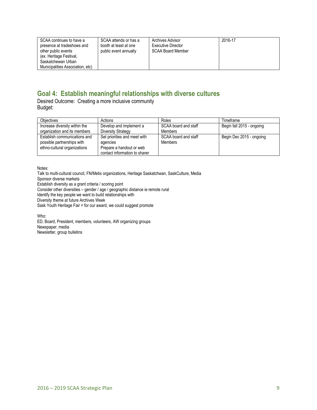| SCAA continues to have a<br>presence at tradeshows and<br>other public events<br>(ex. Heritage Festival,<br>Saskatchewan Urban<br>Municipalities Association, etc) | SCAA attends or has a<br>booth at least at one<br>public event annually | <b>Archives Advisor</b><br><b>Executive Director</b><br><b>SCAA Board Member</b> | 2016-17 |
|--------------------------------------------------------------------------------------------------------------------------------------------------------------------|-------------------------------------------------------------------------|----------------------------------------------------------------------------------|---------|
|--------------------------------------------------------------------------------------------------------------------------------------------------------------------|-------------------------------------------------------------------------|----------------------------------------------------------------------------------|---------|

# **Goal 4: Establish meaningful relationships with diverse cultures**

Desired Outcome: Creating a more inclusive community Budget:

| <b>Objectives</b>                                                                          | Actions                                                                                               | Roles                                  | Timeframe                 |
|--------------------------------------------------------------------------------------------|-------------------------------------------------------------------------------------------------------|----------------------------------------|---------------------------|
| Increase diversity within the                                                              | Develop and implement a                                                                               | SCAA board and staff                   | Begin fall 2015 - ongoing |
| organization and its members                                                               | Diversity Strategy                                                                                    | <b>Members</b>                         |                           |
| Establish communications and<br>possible partnerships with<br>ethno-cultural organizations | Set priorities and meet with<br>agencies<br>Prepare a handout or web<br>contact information to sharer | SCAA board and staff<br><b>Members</b> | Begin Dec 2015 - ongoing  |

Notes:

Talk to multi-cultural council, FN/Metis organizations, Heritage Saskatchwan, SaskCulture, Media Sponsor diverse markets Establish diversity as a grant criteria / scoring point Consider other diversities – gender / age / geographic distance ie remote rural Identify the key people we want to build relationships with Diversity theme at future Archives Week Sask Youth Heritage Fair = for our award, we could suggest promote

Who: ED, Board, President, members, volunteers, AW organizing groups Newspaper, media Newsletter, group bulletins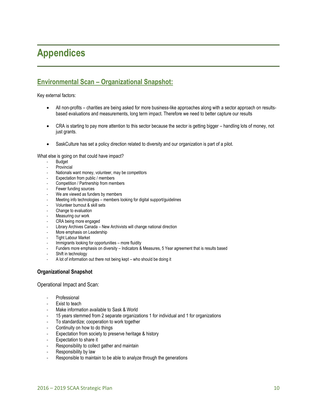# **Appendices**

## **Environmental Scan – Organizational Snapshot:**

Key external factors:

- All non-profits charities are being asked for more business-like approaches along with a sector approach on resultsbased evaluations and measurements, long term impact. Therefore we need to better capture our results
- CRA is starting to pay more attention to this sector because the sector is getting bigger handling lots of money, not just grants.
- SaskCulture has set a policy direction related to diversity and our organization is part of a pilot.

What else is going on that could have impact?

- **Budget**
- **Provincial**
- Nationals want money, volunteer, may be competitors
- Expectation from public / members
- Competition / Partnership from members
- Fewer funding sources
- We are viewed as funders by members
- Meeting info technologies members looking for digital support/guidelines
- Volunteer burnout & skill sets
- Change to evaluation
- Measuring our work
- CRA being more engaged
- Library Archives Canada New Archivists will change national direction
- More emphasis on Leadership
- Tight Labour Market
- Immigrants looking for opportunities more fluidity
- Funders more emphasis on diversity Indicators & Measures, 5 Year agreement that is results based
- Shift in technology
- A lot of information out there not being kept who should be doing it

### **Organizational Snapshot**

Operational Impact and Scan:

- Professional
- **Exist to teach**
- Make information available to Sask & World
- 15 years stemmed from 2 separate organizations 1 for individual and 1 for organizations
- To standardize; cooperation to work together
- Continuity on how to do things
- Expectation from society to preserve heritage & history
- Expectation to share it
- Responsibility to collect gather and maintain
- Responsibility by law
- Responsible to maintain to be able to analyze through the generations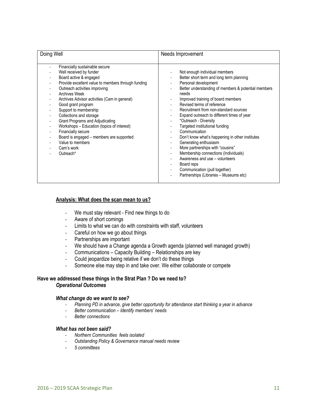| Doing Well                                                                                                                                                                                                                                                                                                                                                                                                                                                                                                                     | Needs Improvement                                                                                                                                                                                                                                                                                                                                                                                                                                                                                                                                                                                                                                                                                                                                                                                                                                                                                                |
|--------------------------------------------------------------------------------------------------------------------------------------------------------------------------------------------------------------------------------------------------------------------------------------------------------------------------------------------------------------------------------------------------------------------------------------------------------------------------------------------------------------------------------|------------------------------------------------------------------------------------------------------------------------------------------------------------------------------------------------------------------------------------------------------------------------------------------------------------------------------------------------------------------------------------------------------------------------------------------------------------------------------------------------------------------------------------------------------------------------------------------------------------------------------------------------------------------------------------------------------------------------------------------------------------------------------------------------------------------------------------------------------------------------------------------------------------------|
| Financially sustainable secure<br>Well received by funder<br>Board active & engaged<br>Provide excellent value to members through funding<br>Outreach activities improving<br><b>Archives Week</b><br>Archives Advisor activities (Cam in general)<br>Good grant program<br>Support to membership<br>Collections and storage<br>Grant Programs and Adjudicating<br>Workshops - Education (topics of interest)<br>Financially secure<br>Board is engaged - members are supported<br>Value to members<br>Cam's work<br>Outreach* | Not enough individual members<br>$\overline{\phantom{a}}$<br>Better short term and long term planning<br>$\overline{\phantom{a}}$<br>Personal development<br>$\overline{\phantom{a}}$<br>Better understanding of members & potential members<br>needs<br>Improved training of board members<br>۰.<br>Revised terms of reference<br>Recruitment from non-standard sources<br>Expand outreach to different times of year<br>*Outreach - Diversity<br>$\overline{\phantom{a}}$<br>Targeted institutional funding<br>Communication<br>Don't know what's happening in other institutes<br>۰.<br>Generating enthusiasm<br>More partnerships with "cousins"<br>٠<br>Membership connections (Individuals)<br>$\overline{\phantom{a}}$<br>Awareness and use - volunteers<br>Board reps<br>$\overline{\phantom{a}}$<br>Communication (pull together)<br>$\overline{\phantom{a}}$<br>Partnerships (Libraries - Museums etc) |

#### **Analysis: What does the scan mean to us?**

- We must stay relevant Find new things to do
- Aware of short comings
- Limits to what we can do with constraints with staff, volunteers
- Careful on how we go about things
- Partnerships are important
- We should have a Change agenda a Growth agenda (planned well managed growth)
- Communications Capacity Building Relationships are key
- Could jeopardize being relative if we don't do these things
- Someone else may step in and take over. We either collaborate or compete

### **Have we addressed these things in the Strat Plan ? Do we need to?** *Operational Outcomes*

#### *What change do we want to see?*

- *Planning PD in advance, give better opportunity for attendance start thinking a year in advance*
- *Better communication – Identify members' needs*
- *Better connections*

### *What has not been said?*

- *Northern Communities feels isolated*
- *Outstanding Policy & Governance manual needs review*
- *5 committees*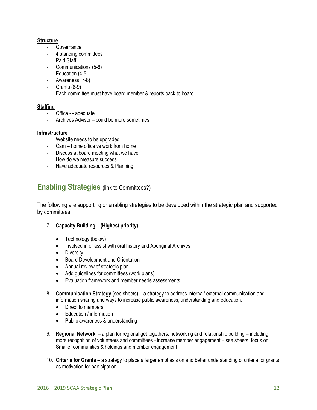### **Structure**

- Governance
- 4 standing committees
- Paid Staff
- Communications (5-6)
- Education (4-5
- Awareness (7-8)
- Grants (8-9)
- Each committee must have board member & reports back to board

### **Staffing**

- Office - adequate
- Archives Advisor could be more sometimes

### **Infrastructure**

- Website needs to be upgraded
- Cam home office vs work from home
- Discuss at board meeting what we have
- How do we measure success
- Have adequate resources & Planning

# **Enabling Strategies** (link to Committees?)

The following are supporting or enabling strategies to be developed within the strategic plan and supported by committees:

- 7. **Capacity Building – (Highest priority)**
	- Technology (below)
	- Involved in or assist with oral history and Aboriginal Archives
	- Diversity
	- Board Development and Orientation
	- Annual review of strategic plan
	- Add guidelines for committees (work plans)
	- Evaluation framework and member needs assessments
- 8. **Communication Strategy** (see sheets) a strategy to address internal/ external communication and information sharing and ways to increase public awareness, understanding and education.
	- Direct to members
	- Education / information
	- Public awareness & understanding
- 9. **Regional Network** a plan for regional get togethers, networking and relationship building including more recognition of volunteers and committees - increase member engagement – see sheets focus on Smaller communities & holdings and member engagement
- 10. **Criteria for Grants** a strategy to place a larger emphasis on and better understanding of criteria for grants as motivation for participation